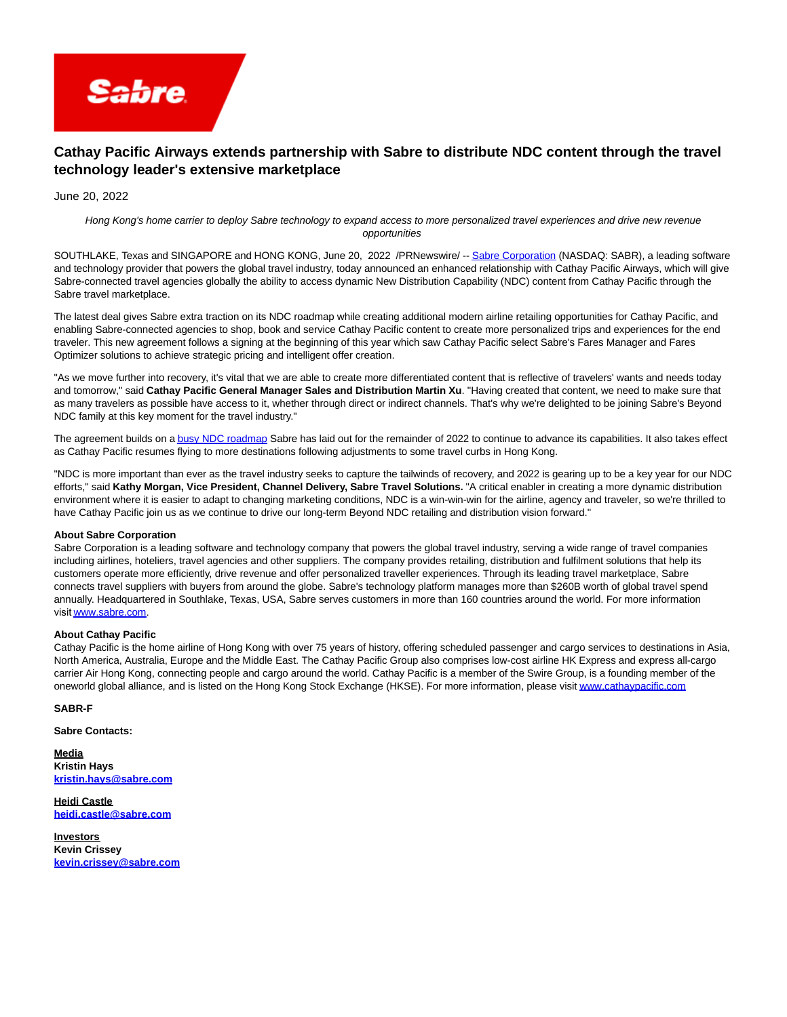

## **Cathay Pacific Airways extends partnership with Sabre to distribute NDC content through the travel technology leader's extensive marketplace**

June 20, 2022

Hong Kong's home carrier to deploy Sabre technology to expand access to more personalized travel experiences and drive new revenue opportunities

SOUTHLAKE, Texas and SINGAPORE and HONG KONG, June 20, 2022 /PRNewswire/ -[- Sabre Corporation \(](https://c212.net/c/link/?t=0&l=en&o=3571710-1&h=2031089028&u=http%3A%2F%2Fwww.sabre.com%2F&a=Sabre+Corporation)NASDAQ: SABR), a leading software and technology provider that powers the global travel industry, today announced an enhanced relationship with Cathay Pacific Airways, which will give Sabre-connected travel agencies globally the ability to access dynamic New Distribution Capability (NDC) content from Cathay Pacific through the Sabre travel marketplace.

The latest deal gives Sabre extra traction on its NDC roadmap while creating additional modern airline retailing opportunities for Cathay Pacific, and enabling Sabre-connected agencies to shop, book and service Cathay Pacific content to create more personalized trips and experiences for the end traveler. This new agreement follows a signing at the beginning of this year which saw Cathay Pacific select Sabre's Fares Manager and Fares Optimizer solutions to achieve strategic pricing and intelligent offer creation.

"As we move further into recovery, it's vital that we are able to create more differentiated content that is reflective of travelers' wants and needs today and tomorrow," said **Cathay Pacific General Manager Sales and Distribution Martin Xu**. "Having created that content, we need to make sure that as many travelers as possible have access to it, whether through direct or indirect channels. That's why we're delighted to be joining Sabre's Beyond NDC family at this key moment for the travel industry."

The agreement builds on [a busy NDC roadmap S](https://c212.net/c/link/?t=0&l=en&o=3571710-1&h=3161552118&u=https%3A%2F%2Fwww.sabre.com%2Finsights%2Fbeyond-ndc-in-2022%2F&a=busy+NDC+roadmap)abre has laid out for the remainder of 2022 to continue to advance its capabilities. It also takes effect as Cathay Pacific resumes flying to more destinations following adjustments to some travel curbs in Hong Kong.

"NDC is more important than ever as the travel industry seeks to capture the tailwinds of recovery, and 2022 is gearing up to be a key year for our NDC efforts," said **Kathy Morgan, Vice President, Channel Delivery, Sabre Travel Solutions.** "A critical enabler in creating a more dynamic distribution environment where it is easier to adapt to changing marketing conditions, NDC is a win-win-win for the airline, agency and traveler, so we're thrilled to have Cathay Pacific join us as we continue to drive our long-term Beyond NDC retailing and distribution vision forward."

## **About Sabre Corporation**

Sabre Corporation is a leading software and technology company that powers the global travel industry, serving a wide range of travel companies including airlines, hoteliers, travel agencies and other suppliers. The company provides retailing, distribution and fulfilment solutions that help its customers operate more efficiently, drive revenue and offer personalized traveller experiences. Through its leading travel marketplace, Sabre connects travel suppliers with buyers from around the globe. Sabre's technology platform manages more than \$260B worth of global travel spend annually. Headquartered in Southlake, Texas, USA, Sabre serves customers in more than 160 countries around the world. For more information visit [www.sabre.com](https://c212.net/c/link/?t=0&l=en&o=3571710-1&h=637213471&u=http%3A%2F%2Fwww.sabre.com%2F&a=www.sabre.com).  

## **About Cathay Pacific**

Cathay Pacific is the home airline of Hong Kong with over 75 years of history, offering scheduled passenger and cargo services to destinations in Asia, North America, Australia, Europe and the Middle East. The Cathay Pacific Group also comprises low-cost airline HK Express and express all-cargo carrier Air Hong Kong, connecting people and cargo around the world. Cathay Pacific is a member of the Swire Group, is a founding member of the oneworld global alliance, and is listed on the Hong Kong Stock Exchange (HKSE). For more information, please visi[t www.cathaypacific.com](https://c212.net/c/link/?t=0&l=en&o=3571710-1&h=1574623485&u=http%3A%2F%2Fwww.cathaypacific.com%2F&a=www.cathaypacific.com)

## **SABR-F**

**Sabre Contacts:**

**Media Kristin Hays [kristin.hays@sabre.com](mailto:kristin.hays@sabre.com)**

**Heidi Castle [heidi.castle@sabre.com](mailto:heidi.castle@sabre.com)**

**Investors Kevin Crissey [kevin.crissey@sabre.com](mailto:kevin.crissey@sabre.com)**